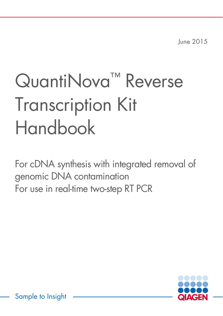June 2015

# QuantiNova<sup>™</sup> Reverse Transcription Kit Handbook

For cDNA synthesis with integrated removal of genomic DNA contamination For use in real-time two-step RT PCR

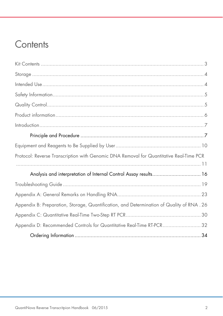### **Contents**

| Protocol: Reverse Transcription with Genomic DNA Removal for Quantitative Real-Time PCR    |  |
|--------------------------------------------------------------------------------------------|--|
|                                                                                            |  |
| Analysis and interpretation of Internal Control Assay results 16                           |  |
|                                                                                            |  |
|                                                                                            |  |
| Appendix B: Preparation, Storage, Quantification, and Determination of Quality of RNA . 26 |  |
|                                                                                            |  |
| Appendix D: Recommended Controls for Quantitative Real-Time RT-PCR 32                      |  |
|                                                                                            |  |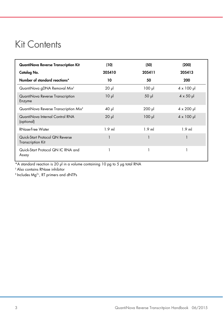### Kit Contents

| QuantiNova Reverse Transcription Kit                        | (10)       | (50)        | (200)                     |
|-------------------------------------------------------------|------------|-------------|---------------------------|
| Catalog No.                                                 | 205410     | 205411      | 205413                    |
| Number of standard reactions*                               | 10         | 50          | 200                       |
| QuantiNova gDNA Removal Mix <sup>t</sup>                    | $20 \mu$   | $100$ $\mu$ | $4 \times 100 \mu$        |
| QuantiNova Reverse Transcription<br>Enzyme                  | $10 \mu$   | $50 \mu$    | $4 \times 50 \mu$         |
| QuantiNova Reverse Transcription Mix <sup>+</sup>           | $40$ $\mu$ | $200$ $\mu$ | $4 \times 200 \text{ pl}$ |
| QuantiNova Internal Control RNA<br>(optional)               | $20$ $\mu$ | $100$ $\mu$ | $4 \times 100 \mu$        |
| RNase-Free Water                                            | $1.9$ ml   | $1.9$ ml    | $1.9$ ml                  |
| Quick-Start Protocol QN Reverse<br><b>Transcription Kit</b> |            |             |                           |
| Quick-Start Protocol QN IC RNA and<br>Assay                 |            |             |                           |

\*A standard reaction is 20 μl in a volume containing 10 pg to 5 μg total RNA

† Also contains RNase inhibitor

‡ Includes Mg2+, RT primers and dNTPs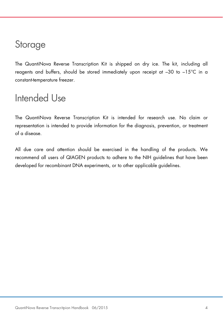### **Storage**

The QuantiNova Reverse Transcription Kit is shipped on dry ice. The kit, including all reagents and buffers, should be stored immediately upon receipt at –30 to –15°C in a constant-temperature freezer.

### Intended Use

The QuantiNova Reverse Transcription Kit is intended for research use. No claim or representation is intended to provide information for the diagnosis, prevention, or treatment of a disease.

All due care and attention should be exercised in the handling of the products. We recommend all users of QIAGEN products to adhere to the NIH guidelines that have been developed for recombinant DNA experiments, or to other applicable guidelines.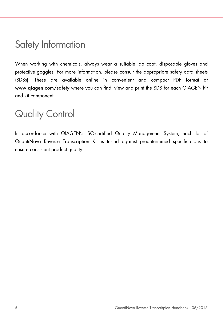### Safety Information

When working with chemicals, always wear a suitable lab coat, disposable gloves and protective goggles. For more information, please consult the appropriate safety data sheets (SDSs). These are available online in convenient and compact PDF format at www.qiagen.com/safety where you can find, view and print the SDS for each QIAGEN kit and kit component.

### Quality Control

In accordance with QIAGEN's ISO-certified Quality Management System, each lot of QuantiNova Reverse Transcription Kit is tested against predetermined specifications to ensure consistent product quality.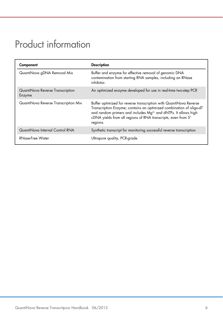# Product information

| Component                                  | <b>Description</b>                                                                                                                                                                                                                                                                                   |
|--------------------------------------------|------------------------------------------------------------------------------------------------------------------------------------------------------------------------------------------------------------------------------------------------------------------------------------------------------|
| QuantiNova gDNA Removal Mix                | Buffer and enzyme for effective removal of genomic DNA<br>contamination from starting RNA samples, including an RNase<br>inhibitor.                                                                                                                                                                  |
| QuantiNova Reverse Transcription<br>Enzyme | An optimized enzyme developed for use in real-time two-step PCR                                                                                                                                                                                                                                      |
| QuantiNova Reverse Transcription Mix       | Buffer optimized for reverse transcription with QuantiNova Reverse<br>Transcription Enzyme; contains an optimized combination of oligo-dT<br>and random primers and includes Mg <sup>2+</sup> and dNTPs. It allows high<br>cDNA yields from all regions of RNA transcripts, even from 5'<br>regions. |
| QuantiNova Internal Control RNA            | Synthetic transcript for monitoring successful reverse transcription                                                                                                                                                                                                                                 |
| RNase-Free Water                           | Ultrapure quality, PCR-grade                                                                                                                                                                                                                                                                         |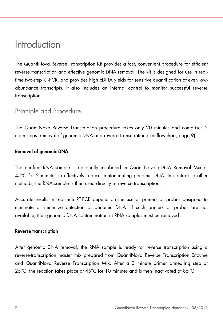### Introduction

The QuantiNova Reverse Transcription Kit provides a fast, convenient procedure for efficient reverse transcription and effective genomic DNA removal. The kit is designed for use in realtime two-step RT-PCR, and provides high cDNA yields for sensitive quantification of even lowabundance transcripts. It also includes an internal control to monitor successful reverse transcription.

#### Principle and Procedure

The QuantiNova Reverse Transcription procedure takes only 20 minutes and comprises 2 main steps: removal of genomic DNA and reverse transcription (see flowchart, page 9).

#### Removal of genomic DNA

The purified RNA sample is optionally incubated in QuantiNova gDNA Removal Mix at 45°C for 2 minutes to effectively reduce contaminating genomic DNA. In contrast to other methods, the RNA sample is then used directly in reverse transcription.

Accurate results in real-time RT-PCR depend on the use of primers or probes designed to eliminate or minimize detection of genomic DNA. If such primers or probes are not available, then genomic DNA contamination in RNA samples must be removed.

#### Reverse transcription

After genomic DNA removal, the RNA sample is ready for reverse transcription using a reverse-transcription master mix prepared from QuantiNova Reverse Transcription Enzyme and QuantiNova Reverse Transcription Mix. After a 3 minute primer annealing step at 25 $^{\circ}$ C, the reaction takes place at 45 $^{\circ}$ C for 10 minutes and is then inactivated at 85 $^{\circ}$ C.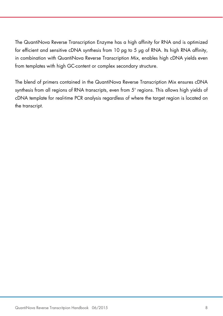The QuantiNova Reverse Transcription Enzyme has a high affinity for RNA and is optimized for efficient and sensitive cDNA synthesis from 10 pg to 5 μg of RNA. Its high RNA affinity, in combination with QuantiNova Reverse Transcription Mix, enables high cDNA yields even from templates with high GC-content or complex secondary structure.

The blend of primers contained in the QuantiNova Reverse Transcription Mix ensures cDNA synthesis from all regions of RNA transcripts, even from 5' regions. This allows high yields of cDNA template for real-time PCR analysis regardless of where the target region is located on the transcript.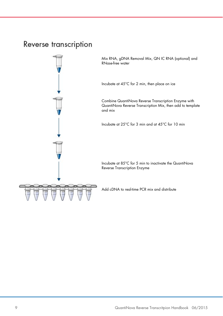### Reverse transcription

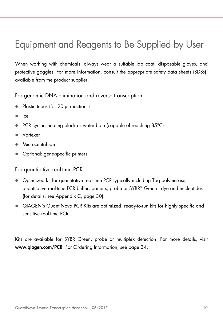# Equipment and Reagents to Be Supplied by User

When working with chemicals, always wear a suitable lab coat, disposable gloves, and protective goggles. For more information, consult the appropriate safety data sheets (SDSs), available from the product supplier.

For genomic DNA elimination and reverse transcription:

- Plastic tubes (for 20 μl reactions)
- Ice
- PCR cycler, heating block or water bath (capable of reaching 85°C)
- Vortexer
- Microcentrifuge
- Optional: gene-specific primers

For quantitative real-time PCR:

- Optimized kit for quantitative real-time PCR typically including Taq polymerase, quantitative real-time PCR buffer, primers, probe or SYBR® Green I dye and nucleotides (for details, see Appendix C, page 30).
- QIAGEN's QuantiNova PCR Kits are optimized, ready-to-run kits for highly specific and sensitive real-time PCR.

Kits are available for SYBR Green, probe or multiplex detection. For more details, visit www.qiagen.com/PCR. For Ordering Information, see page 34.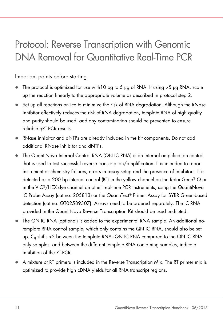# Protocol: Reverse Transcription with Genomic DNA Removal for Quantitative Real-Time PCR

#### Important points before starting

- The protocol is optimized for use with 10 pg to 5  $\mu$ g of RNA. If using  $>$ 5  $\mu$ g RNA, scale up the reaction linearly to the appropriate volume as described in protocol step 2.
- Set up all reactions on ice to minimize the risk of RNA degradation. Although the RNase inhibitor effectively reduces the risk of RNA degradation, template RNA of high quality and purity should be used, and any contamination should be prevented to ensure reliable qRT-PCR results.
- RNase inhibitor and dNTPs are already included in the kit components. Do not add additional RNase inhibitor and dNTPs.
- The QuantiNova Internal Control RNA (QN IC RNA) is an internal amplification control that is used to test successful reverse transcription/amplification. It is intended to report instrument or chemistry failures, errors in assay setup and the presence of inhibitors. It is detected as a 200 bp internal control (IC) in the yellow channel on the Rotor-Gene® Q or in the VIC®/HEX dye channel on other real-time PCR instruments, using the QuantiNova IC Probe Assay (cat no. 205813) or the QuantiTect® Primer Assay for SYBR Green-based detection (cat no. QT02589307). Assays need to be ordered separately. The IC RNA provided in the QuantiNova Reverse Transcription Kit should be used undiluted.
- The QN IC RNA (optional) is added to the experimental RNA sample. An additional notemplate RNA control sample, which only contains the QN IC RNA, should also be set up. C<sub>a</sub> shifts >2 between the template RNA+QN IC RNA compared to the QN IC RNA only samples, and between the different template RNA containing samples, indicate inhibition of the RT-PCR.
- A mixture of RT primers is included in the Reverse Transcription Mix. The RT primer mix is optimized to provide high cDNA yields for all RNA transcript regions.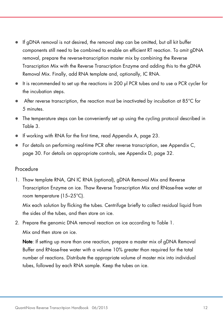- If gDNA removal is not desired, the removal step can be omitted, but all kit buffer components still need to be combined to enable an efficient RT reaction. To omit gDNA removal, prepare the reverse-transcription master mix by combining the Reverse Transcription Mix with the Reverse Transcription Enzyme and adding this to the gDNA Removal Mix. Finally, add RNA template and, optionally, IC RNA.
- $\bullet$  It is recommended to set up the reactions in 200 μl PCR tubes and to use a PCR cycler for the incubation steps.
- $\bullet$  After reverse transcription, the reaction must be inactivated by incubation at 85 $\degree$ C for 5 minutes.
- The temperature steps can be conveniently set up using the cycling protocol described in Table 3.
- If working with RNA for the first time, read Appendix A, page 23.
- For details on performing real-time PCR after reverse transcription, see Appendix C, page 30. For details on appropriate controls, see Appendix D, page 32.

#### Procedure

1. Thaw template RNA, QN IC RNA (optional), gDNA Removal Mix and Reverse Transcription Enzyme on ice. Thaw Reverse Transcription Mix and RNase-free water at room temperature (15–25°C).

Mix each solution by flicking the tubes. Centrifuge briefly to collect residual liquid from the sides of the tubes, and then store on ice.

2. Prepare the genomic DNA removal reaction on ice according to Table 1. Mix and then store on ice.

Note: If setting up more than one reaction, prepare a master mix of gDNA Removal Buffer and RNase-free water with a volume 10% greater than required for the total number of reactions. Distribute the appropriate volume of master mix into individual tubes, followed by each RNA sample. Keep the tubes on ice.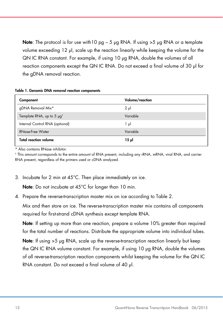**Note:** The protocol is for use with 10  $pq - 5$   $pq$  RNA. If using  $>5$   $pq$  RNA or a template volume exceeding 12 μl, scale up the reaction linearly while keeping the volume for the QN IC RNA constant. For example, if using 10 μg RNA, double the volumes of all reaction components except the QN IC RNA. Do not exceed a final volume of 30 μl for the gDNA removal reaction.

| Component                             | Volume/reaction |
|---------------------------------------|-----------------|
| gDNA Removal Mix*                     | $2 \mu$         |
| Template RNA, up to 5 µg <sup>t</sup> | Variable        |
| Internal Control RNA (optional)       | 1 µI            |
| <b>RNase-Free Water</b>               | Variable        |
| <b>Total reaction volume</b>          | 15 pl           |

Table 1. Genomic DNA removal reaction components

\* Also contains RNase inhibitor.

† This amount corresponds to the entire amount of RNA present, including any rRNA, mRNA, viral RNA, and carrier RNA present, regardless of the primers used or cDNA analyzed.

3. Incubate for 2 min at 45°C. Then place immediately on ice.

Note: Do not incubate at 45°C for longer than 10 min.

4. Prepare the reverse-transcription master mix on ice according to Table 2.

Mix and then store on ice. The reverse-transcription master mix contains all components required for first-strand cDNA synthesis except template RNA.

Note: If setting up more than one reaction, prepare a volume 10% greater than required for the total number of reactions. Distribute the appropriate volume into individual tubes.

Note: If using >5 μg RNA, scale up the reverse-transcription reaction linearly but keep the QN IC RNA volume constant. For example, if using 10 μg RNA, double the volumes of all reverse-transcription reaction components whilst keeping the volume for the QN IC RNA constant. Do not exceed a final volume of 40 μl.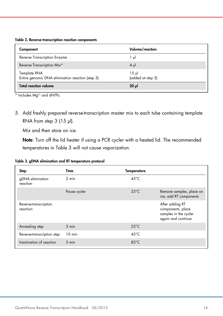| Component                                                        | Volume/reaction               |
|------------------------------------------------------------------|-------------------------------|
| Reverse Transcription Enzyme                                     | lμl                           |
| Reverse Transcription Mix*                                       | $4 \mu$                       |
| Template RNA<br>Entire genomic DNA elimination reaction (step 3) | $15 \mu$<br>(added at step 5) |
| <b>Total reaction volume</b>                                     | $20 \mu$                      |

\* Includes Mg<sup>2+</sup> and dNTPs.

5. Add freshly prepared reverse-transcription master mix to each tube containing template RNA from step 3 (15 μl).

Mix and then store on ice.

Note: Turn off the lid heater if using a PCR cycler with a heated lid. The recommended temperatures in Table 3 will not cause vaporization.

| Table 3. gDNA elimination and RT temperature protocol |  |  |  |  |
|-------------------------------------------------------|--|--|--|--|
|-------------------------------------------------------|--|--|--|--|

| <b>Step</b>                        | Time             | <b>Temperature</b> |                                                                                     |
|------------------------------------|------------------|--------------------|-------------------------------------------------------------------------------------|
| gDNA elimination<br>reaction       | 2 min            | $45^{\circ}$ C     |                                                                                     |
|                                    | Pause cycler     | $25^{\circ}$ C     | Remove samples, place on<br>ice, add RT components                                  |
| Reverse-transcription<br>reaction: |                  |                    | After adding RT<br>components, place<br>samples in the cycler<br>again and continue |
| Annealing step                     | $3$ min          | $25^{\circ}$ C     |                                                                                     |
| Reverse-transcription step         | $10 \text{ min}$ | $45^{\circ}$ C     |                                                                                     |
| Inactivation of reaction           | $5 \text{ min}$  | $85^{\circ}$ C     |                                                                                     |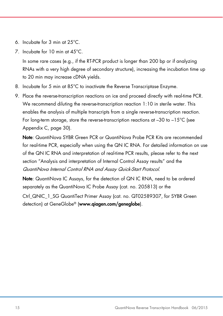- 6. Incubate for 3 min at 25°C.
- 7. Incubate for 10 min at 45°C.

In some rare cases (e.g., if the RT-PCR product is longer than 200 bp or if analyzing RNAs with a very high degree of secondary structure), increasing the incubation time up to 20 min may increase cDNA yields.

- 8. Incubate for 5 min at 85°C to inactivate the Reverse Transcriptase Enzyme.
- 9. Place the reverse-transcription reactions on ice and proceed directly with real-time PCR. We recommend diluting the reverse-transcription reaction 1:10 in sterile water. This enables the analysis of multiple transcripts from a single reverse-transcription reaction. For long-term storage, store the reverse-transcription reactions at  $-30$  to  $-15^{\circ}$ C (see Appendix C, page 30).

Note: QuantiNova SYBR Green PCR or QuantiNova Probe PCR Kits are recommended for real-time PCR, especially when using the QN IC RNA. For detailed information on use of the QN IC RNA and interpretation of real-time PCR results, please refer to the next section "Analysis and interpretation of Internal Control Assay results" and the QuantiNova Internal Control RNA and Assay Quick-Start Protocol.

Note: QuantiNova IC Assays, for the detection of QN IC RNA, need to be ordered separately as the QuantiNova IC Probe Assay (cat. no. 205813) or the

Ctrl\_QNIC\_1\_SG QuantiTect Primer Assay (cat. no. QT02589307, for SYBR Green detection) at GeneGlobe® (www.qiagen.com/geneglobe).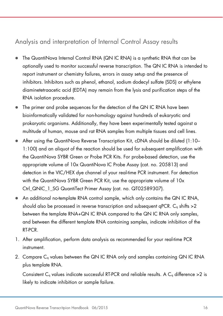### Analysis and interpretation of Internal Control Assay results

- The QuantiNova Internal Control RNA (QN IC RNA) is a synthetic RNA that can be optionally used to monitor successful reverse transcription. The QN IC RNA is intended to report instrument or chemistry failures, errors in assay setup and the presence of inhibitors. Inhibitors such as phenol, ethanol, sodium dodecyl sulfate (SDS) or ethylene diaminetetraacetic acid (EDTA) may remain from the lysis and purification steps of the RNA isolation procedure.
- The primer and probe sequences for the detection of the QN IC RNA have been bioinformatically validated for non-homology against hundreds of eukaryotic and prokaryotic organisms. Additionally, they have been experimentally tested against a multitude of human, mouse and rat RNA samples from multiple tissues and cell lines.
- After using the QuantiNova Reverse Transcription Kit, cDNA should be diluted (1:10– 1:100) and an aliquot of the reaction should be used for subsequent amplification with the QuantiNova SYBR Green or Probe PCR Kits. For probe-based detection, use the appropriate volume of 10x QuantiNova IC Probe Assay (cat. no. 205813) and detection in the VIC/HEX dye channel of your real-time PCR instrument. For detection with the QuantiNova SYBR Green PCR Kit, use the appropriate volume of 10x Ctrl QNIC\_1\_SG QuantiTect Primer Assay (cat. no. QT02589307).
- An additional no-template RNA control sample, which only contains the QN IC RNA, should also be processed in reverse transcription and subsequent  $qPCR$ .  $C_q$  shifts  $>2$ between the template RNA+QN IC RNA compared to the QN IC RNA only samples, and between the different template RNA containing samples, indicate inhibition of the RT-PCR.
- 1. After amplification, perform data analysis as recommended for your real-time PCR instrument.
- 2. Compare C<sub>a</sub> values between the QN IC RNA only and samples containing QN IC RNA plus template RNA.

Consistent C<sub>q</sub> values indicate successful RT-PCR and reliable results. A C<sub>q</sub> difference > 2 is likely to indicate inhibition or sample failure.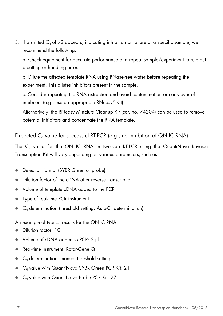3. If a shifted  $C<sub>g</sub>$  of >2 appears, indicating inhibition or failure of a specific sample, we recommend the following:

a. Check equipment for accurate performance and repeat sample/experiment to rule out pipetting or handling errors.

b. Dilute the affected template RNA using RNase-free water before repeating the experiment. This dilutes inhibitors present in the sample.

c. Consider repeating the RNA extraction and avoid contamination or carry-over of inhibitors (e.g., use an appropriate RNeasy® Kit).

Alternatively, the RNeasy MinElute Cleanup Kit (cat. no. 74204) can be used to remove potential inhibitors and concentrate the RNA template.

Expected  $C_q$  value for successful RT-PCR (e.g., no inhibition of QN IC RNA)

The Cq value for the QN IC RNA in two-step RT-PCR using the QuantiNova Reverse Transcription Kit will vary depending on various parameters, such as:

- Detection format (SYBR Green or probe)
- Dilution factor of the cDNA after reverse transcription
- Volume of template cDNA added to the PCR
- Type of real-time PCR instrument
- $C_q$  determination (threshold setting, Auto- $C_q$  determination)

An example of typical results for the QN IC RNA:

- Dilution factor: 10
- Volume of cDNA added to PCR: 2 μl
- Real-time instrument: Rotor-Gene Q
- Cq determination: manual threshold setting
- Cq value with QuantiNova SYBR Green PCR Kit: 21
- C<sub>q</sub> value with QuantiNova Probe PCR Kit: 27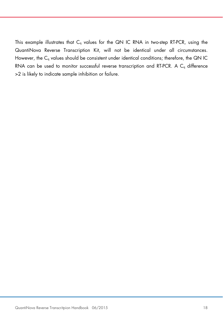This example illustrates that  $C_q$  values for the QN IC RNA in two-step RT-PCR, using the QuantiNova Reverse Transcription Kit, will not be identical under all circumstances. However, the  $C_q$  values should be consistent under identical conditions; therefore, the QN IC RNA can be used to monitor successful reverse transcription and RT-PCR. A  $C_q$  difference >2 is likely to indicate sample inhibition or failure.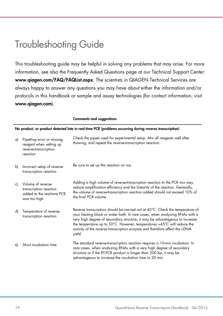### Troubleshooting Guide

This troubleshooting guide may be helpful in solving any problems that may arise. For more information, see also the Frequently Asked Questions page at our Technical Support Center: www.qiagen.com/FAQ/FAQList.aspx. The scientists in QIAGEN Technical Services are always happy to answer any questions you may have about either the information and/or protocols in this handbook or sample and assay technologies (for contact information, visit www.qiagen.com).

|    |                                                                                                         | <b>Comments and suggestions</b>                                                                                                                                                                                                                                                                                                                                                                                |  |  |
|----|---------------------------------------------------------------------------------------------------------|----------------------------------------------------------------------------------------------------------------------------------------------------------------------------------------------------------------------------------------------------------------------------------------------------------------------------------------------------------------------------------------------------------------|--|--|
|    | No product, or product detected late in real-time PCR (problems occurring during reverse transcription) |                                                                                                                                                                                                                                                                                                                                                                                                                |  |  |
| a) | Pipetting error or missing<br>reagent when setting up<br>reverse-transcription<br>reaction              | Check the pipets used for experimental setup. Mix all reagents well after<br>thawing, and repeat the reverse-transcription reaction.                                                                                                                                                                                                                                                                           |  |  |
| b) | Incorrect setup of reverse-<br>transcription reaction                                                   | Be sure to set up the reaction on ice.                                                                                                                                                                                                                                                                                                                                                                         |  |  |
| c) | Volume of reverse-<br>transcription reaction<br>added to the real-time PCR<br>was too high              | Adding a high volume of reverse-transcription reaction to the PCR mix may<br>reduce amplification efficiency and the linearity of the reaction. Generally,<br>the volume of reverse-transcription reaction added should not exceed 10% of<br>the final PCR volume.                                                                                                                                             |  |  |
| d) | Temperature of reverse-<br>transcription reaction                                                       | Reverse transcription should be carried out at 45°C. Check the temperature of<br>your heating block or water bath. In rare cases, when analyzing RNAs with a<br>very high degree of secondary structure, it may be advantageous to increase<br>the temperature up to 50°C. However, temperatures >45°C will reduce the<br>activity of the reverse transcription enzyme and therefore affect the cDNA<br>yield. |  |  |
| e) | Short incubation time                                                                                   | The standard reverse-transcription reaction requires a 10-min incubation. In<br>rare cases, when analyzing RNAs with a very high degree of secondary<br>structure or if the RT-PCR product is longer than 200 bp, it may be<br>advantageous to increase the incubation time to 20 min.                                                                                                                         |  |  |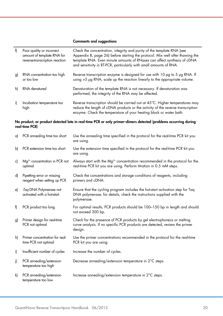#### Comments and suggestions

| f) | Poor quality or incorrect<br>amount of template RNA for<br>reverse-transcription reaction | Check the concentration, integrity and purity of the template RNA (see<br>Appendix B, page 26) before starting the protocol. Mix well after thawing the<br>template RNA. Even minute amounts of RNases can affect synthesis of cDNA<br>and sensitivity in RT-PCR, particularly with small amounts of RNA. |
|----|-------------------------------------------------------------------------------------------|-----------------------------------------------------------------------------------------------------------------------------------------------------------------------------------------------------------------------------------------------------------------------------------------------------------|
| g) | RNA concentration too high<br>or too low                                                  | Reverse transcription enzyme is designed for use with 10 pg to 5 µg RNA. If<br>using >5 µg RNA, scale up the reaction linearly to the appropriate volume.                                                                                                                                                 |
| h) | RNA denatured                                                                             | Denaturation of the template RNA is not necessary. If denaturation was<br>performed, the integrity of the RNA may be affected.                                                                                                                                                                            |
| i) | Incubation temperature too<br>high                                                        | Reverse transcription should be carried out at 45°C. Higher temperatures may<br>reduce the length of cDNA products or the activity of the reverse transcription<br>enzyme. Check the temperature of your heating block or water bath.                                                                     |
|    | real-time PCR)                                                                            | No product, or product detected late in real-time PCR or only primer-dimers detected (problems occurring during                                                                                                                                                                                           |
| a) | PCR annealing time too short                                                              | Use the annealing time specified in the protocol for the real-time PCR kit you<br>are using.                                                                                                                                                                                                              |
| b) | PCR extension time too short                                                              | Use the extension time specified in the protocol for the real-time PCR kit you<br>are using.                                                                                                                                                                                                              |
| c) | Mg <sup>2+</sup> concentration in PCR not<br>optimal                                      | Always start with the $Mg^{2+}$ concentration recommended in the protocol for the<br>real-time PCR kit you are using. Perform titration in 0.5 mM steps.                                                                                                                                                  |
| d) | Pipetting error or missing<br>reagent when setting up PCR                                 | Check the concentrations and storage conditions of reagents, including<br>primers and cDNA.                                                                                                                                                                                                               |
| e) | Tag DNA Polymerase not<br>activated with a hot-start                                      | Ensure that the cycling program includes the hot-start activation step for Taq<br>DNA polymerase; for details, check the instructions supplied with the<br>polymerase.                                                                                                                                    |
| f) | PCR product too long                                                                      | For optimal results, PCR products should be 100-150 bp in length and should<br>not exceed 300 bp.                                                                                                                                                                                                         |
| g) | Primer design for real-time<br>PCR not optimal                                            | Check for the presence of PCR products by gel electrophoresis or melting<br>curve analysis. If no specific PCR products are detected, review the primer<br>design.                                                                                                                                        |
| h) | Primer concentration for real-<br>time PCR not optimal                                    | Use the primer concentrations recommended in the protocol for the real-time<br>PCR kit you are using.                                                                                                                                                                                                     |
| i) | Insufficient number of cycles                                                             | Increase the number of cycles.                                                                                                                                                                                                                                                                            |
| j) | PCR annealing/extension<br>temperature too high                                           | Decrease annealing/extension temperature in 2°C steps.                                                                                                                                                                                                                                                    |
| k) | PCR annealing/extension<br>temperature too low                                            | Increase annealing/extension temperature in 2°C steps.                                                                                                                                                                                                                                                    |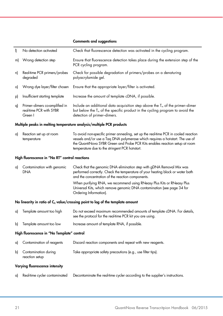#### Comments and suggestions

| I)                                             | No detection activated                                               | Check that fluorescence detection was activated in the cycling program.                                                                                                                                                                                                                                 |  |  |
|------------------------------------------------|----------------------------------------------------------------------|---------------------------------------------------------------------------------------------------------------------------------------------------------------------------------------------------------------------------------------------------------------------------------------------------------|--|--|
| m)                                             | Wrong detection step                                                 | Ensure that fluorescence detection takes place during the extension step of the<br>PCR cycling program.                                                                                                                                                                                                 |  |  |
| n)                                             | Real-time PCR primers/probes<br>degraded                             | Check for possible degradation of primers/probes on a denaturing<br>polyacrylamide gel.                                                                                                                                                                                                                 |  |  |
| o)                                             | Wrong dye layer/filter chosen                                        | Ensure that the appropriate layer/filter is activated.                                                                                                                                                                                                                                                  |  |  |
| p)                                             | Insufficient starting template                                       | Increase the amount of template cDNA, if possible.                                                                                                                                                                                                                                                      |  |  |
| q)                                             | Primer-dimers co-amplified in<br>real-time PCR with SYBR<br>Green I  | Include an additional data acquisition step above the $T_m$ of the primer-dimer<br>but below the T <sub>m</sub> of the specific product in the cycling program to avoid the<br>detection of primer-dimers.                                                                                              |  |  |
|                                                | Multiple peaks in melting temperature analysis/multiple PCR products |                                                                                                                                                                                                                                                                                                         |  |  |
| a)                                             | Reaction set up at room<br>temperature                               | To avoid non-specific primer annealing, set up the real-time PCR in cooled reaction<br>vessels and/or use a Taq DNA polymerase which requires a hot-start. The use of<br>the QuantiNova SYBR Green and Probe PCR Kits enables reaction setup at room<br>temperature due to the stringent PCR hot-start. |  |  |
| High fluorescence in "No RT" control reactions |                                                                      |                                                                                                                                                                                                                                                                                                         |  |  |
| a)                                             | Contamination with genomic<br><b>DNA</b>                             | Check that the genomic DNA elimination step with gDNA Removal Mix was<br>performed correctly. Check the temperature of your heating block or water bath<br>and the concentration of the reaction components.                                                                                            |  |  |
|                                                |                                                                      | When purifying RNA, we recommend using RNeasy Plus Kits or RNeasy Plus<br>Universal Kits, which remove genomic DNA contamination (see page 34 for<br>Ordering Information).                                                                                                                             |  |  |
|                                                |                                                                      | No linearity in ratio of $C_q$ value/crossing point to log of the template amount                                                                                                                                                                                                                       |  |  |
| a)                                             | Template amount too high                                             | Do not exceed maximum recommended amounts of template cDNA. For details,<br>see the protocol for the real-time PCR kit you are using.                                                                                                                                                                   |  |  |
| b)                                             | Template amount too low                                              | Increase amount of template RNA, if possible.                                                                                                                                                                                                                                                           |  |  |

#### High fluorescence in "No Template" control

| a) Contamination of reagents              | Discard reaction components and repeat with new reagents.    |
|-------------------------------------------|--------------------------------------------------------------|
| b) Contamination during<br>reaction setup | Take appropriate safety precautions (e.g., use filter tips). |

#### Varying fluorescence intensity

a) Real-time cycler contaminated Decontaminate the real-time cycler according to the supplier's instructions.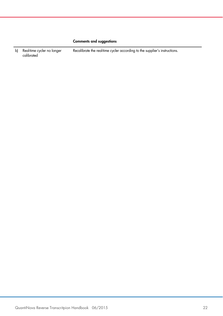#### Comments and suggestions

b) Real-time cycler no longer calibrated Recalibrate the real-time cycler according to the supplier's instructions.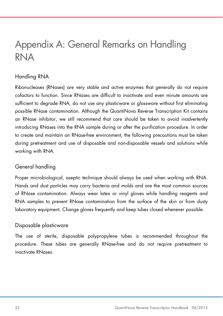### Appendix A: General Remarks on Handling RNA

#### Handling RNA

Ribonucleases (RNases) are very stable and active enzymes that generally do not require cofactors to function. Since RNases are difficult to inactivate and even minute amounts are sufficient to degrade RNA, do not use any plasticware or glassware without first eliminating possible RNase contamination. Although the QuantiNova Reverse Transcription Kit contains an RNase inhibitor, we still recommend that care should be taken to avoid inadvertently introducing RNases into the RNA sample during or after the purification procedure. In order to create and maintain an RNase-free environment, the following precautions must be taken during pretreatment and use of disposable and non-disposable vessels and solutions while working with RNA.

#### General handling

Proper microbiological, aseptic technique should always be used when working with RNA. Hands and dust particles may carry bacteria and molds and are the most common sources of RNase contamination. Always wear latex or vinyl gloves while handling reagents and RNA samples to prevent RNase contamination from the surface of the skin or from dusty laboratory equipment. Change gloves frequently and keep tubes closed whenever possible.

#### Disposable plasticware

The use of sterile, disposable polypropylene tubes is recommended throughout the procedure. These tubes are generally RNase-free and do not require pretreatment to inactivate RNases.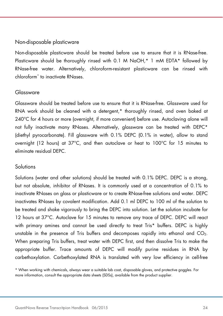#### Non-disposable plasticware

Non-disposable plasticware should be treated before use to ensure that it is RNase-free. Plasticware should be thoroughly rinsed with 0.1 M NaOH,\* 1 mM EDTA\* followed by RNase-free water. Alternatively, chloroform-resistant plasticware can be rinsed with chloroform\* to inactivate RNases.

#### Glassware

Glassware should be treated before use to ensure that it is RNase-free. Glassware used for RNA work should be cleaned with a detergent,\* thoroughly rinsed, and oven baked at 240°C for 4 hours or more (overnight, if more convenient) before use. Autoclaving alone will not fully inactivate many RNases. Alternatively, glassware can be treated with DEPC\* (diethyl pyrocarbonate). Fill glassware with 0.1% DEPC (0.1% in water), allow to stand overnight (12 hours) at 37°C, and then autoclave or heat to 100°C for 15 minutes to eliminate residual DEPC.

#### **Solutions**

Solutions (water and other solutions) should be treated with 0.1% DEPC. DEPC is a strong, but not absolute, inhibitor of RNases. It is commonly used at a concentration of 0.1% to inactivate RNases on glass or plasticware or to create RNase-free solutions and water. DEPC inactivates RNases by covalent modification. Add 0.1 ml DEPC to 100 ml of the solution to be treated and shake vigorously to bring the DEPC into solution. Let the solution incubate for 12 hours at 37°C. Autoclave for 15 minutes to remove any trace of DEPC. DEPC will react with primary amines and cannot be used directly to treat Tris\* buffers. DEPC is highly unstable in the presence of Tris buffers and decomposes rapidly into ethanol and  $CO<sub>2</sub>$ . When preparing Tris buffers, treat water with DEPC first, and then dissolve Tris to make the appropriate buffer. Trace amounts of DEPC will modify purine residues in RNA by carbethoxylation. Carbethoxylated RNA is translated with very low efficiency in cell-free

<sup>\*</sup> When working with chemicals, always wear a suitable lab coat, disposable gloves, and protective goggles. For more information, consult the appropriate data sheets (SDSs), available from the product supplier.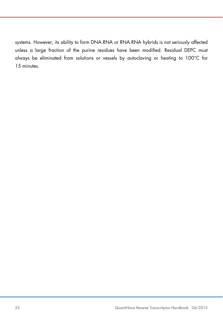systems. However, its ability to form DNA:RNA or RNA:RNA hybrids is not seriously affected unless a large fraction of the purine residues have been modified. Residual DEPC must always be eliminated from solutions or vessels by autoclaving or heating to 100°C for 15 minutes.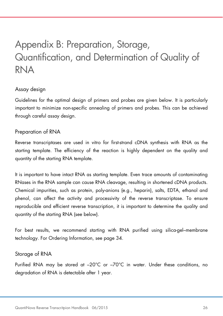# Appendix B: Preparation, Storage, Quantification, and Determination of Quality of RNA

#### Assay design

Guidelines for the optimal design of primers and probes are given below. It is particularly important to minimize non-specific annealing of primers and probes. This can be achieved through careful assay design.

#### Preparation of RNA

Reverse transcriptases are used in vitro for first-strand cDNA synthesis with RNA as the starting template. The efficiency of the reaction is highly dependent on the quality and quantity of the starting RNA template.

It is important to have intact RNA as starting template. Even trace amounts of contaminating RNases in the RNA sample can cause RNA cleavage, resulting in shortened cDNA products. Chemical impurities, such as protein, poly-anions (e.g., heparin), salts, EDTA, ethanol and phenol, can affect the activity and processivity of the reverse transcriptase. To ensure reproducible and efficient reverse transcription, it is important to determine the quality and quantity of the starting RNA (see below).

For best results, we recommend starting with RNA purified using silica-gel–membrane technology. For Ordering Information, see page 34.

#### Storage of RNA

Purified RNA may be stored at –20°C or –70°C in water. Under these conditions, no degradation of RNA is detectable after 1 year.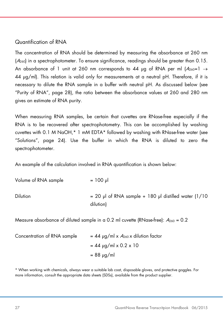#### Quantification of RNA

The concentration of RNA should be determined by measuring the absorbance at 260 nm  $(A<sub>260</sub>)$  in a spectrophotometer. To ensure significance, readings should be greater than 0.15. An absorbance of 1 unit at 260 nm corresponds to 44 µg of RNA per ml  $(A_{260}=1 \rightarrow$ 44 μg/ml). This relation is valid only for measurements at a neutral pH. Therefore, if it is necessary to dilute the RNA sample in a buffer with neutral pH. As discussed below (see "Purity of RNA", page 28), the ratio between the absorbance values at 260 and 280 nm gives an estimate of RNA purity.

When measuring RNA samples, be certain that cuvettes are RNase-free especially if the RNA is to be recovered after spectrophotometry. This can be accomplished by washing cuvettes with 0.1 M NaOH,\* 1 mM EDTA\* followed by washing with RNase-free water (see "Solutions", page 24). Use the buffer in which the RNA is diluted to zero the spectrophotometer.

An example of the calculation involved in RNA quantification is shown below:

| Volume of RNA sample | $= 100 \mu$                                            |
|----------------------|--------------------------------------------------------|
| <b>Dilution</b>      | $= 20$ µl of RNA sample + 180 µl distilled water (1/10 |
|                      | dilution)                                              |

Measure absorbance of diluted sample in a 0.2 ml cuvette (RNase-free):  $A_{260} = 0.2$ 

| Concentration of RNA sample | $= 44$ µg/ml x $A_{260}$ x dilution factor |  |
|-----------------------------|--------------------------------------------|--|
|                             | $= 44$ µg/ml x 0.2 x 10                    |  |
|                             | $= 88 \mu g/ml$                            |  |

\* When working with chemicals, always wear a suitable lab coat, disposable gloves, and protective goggles. For more information, consult the appropriate data sheets (SDSs), available from the product supplier.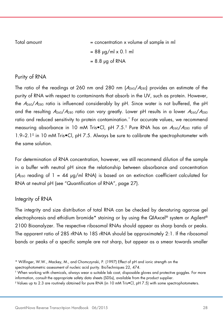| Total amount | $=$ concentration x volume of sample in ml |
|--------------|--------------------------------------------|
|              | $= 88 \text{ µg/ml} \times 0.1 \text{ ml}$ |
|              | $= 8.8 \mu g \text{ of RNA}$               |

#### Purity of RNA

The ratio of the readings at 260 nm and 280 nm  $(A_{260}/A_{280})$  provides an estimate of the purity of RNA with respect to contaminants that absorb in the UV, such as protein. However, the  $A_{260}/A_{280}$  ratio is influenced considerably by pH. Since water is not buffered, the pH and the resulting  $A_{260}/A_{280}$  ratio can vary greatly. Lower pH results in a lower  $A_{260}/A_{280}$ ratio and reduced sensitivity to protein contamination.\* For accurate values, we recommend measuring absorbance in 10 mM Tris•Cl, pH 7.5.† Pure RNA has an A260/A280 ratio of 1.9–2.1‡ in 10 mM Tris•Cl, pH 7.5. Always be sure to calibrate the spectrophotometer with the same solution.

For determination of RNA concentration, however, we still recommend dilution of the sample in a buffer with neutral pH since the relationship between absorbance and concentration ( $A_{260}$  reading of 1 = 44  $\mu$ g/ml RNA) is based on an extinction coefficient calculated for RNA at neutral pH (see "Quantification of RNA", page 27).

#### Integrity of RNA

The integrity and size distribution of total RNA can be checked by denaturing agarose gel electrophoresis and ethidium bromide\* staining or by using the QIAxcel® system or Agilent® 2100 Bioanalyzer. The respective ribosomal RNAs should appear as sharp bands or peaks. The apparent ratio of 28S rRNA to 18S rRNA should be approximately 2:1. If the ribosomal bands or peaks of a specific sample are not sharp, but appear as a smear towards smaller

<sup>\*</sup> Wilfinger, W.W., Mackey, M., and Chomczynski, P. (1997) Effect of pH and ionic strength on the spectrophotometric assessment of nucleic acid purity. BioTechniques 22, 474.

<sup>†</sup> When working with chemicals, always wear a suitable lab coat, disposable gloves and protective goggles. For more information, consult the appropriate safety data sheets (SDSs), available from the product supplier.

<sup>‡</sup> Values up to 2.3 are routinely obtained for pure RNA (in 10 mM Tris•Cl, pH 7.5) with some spectrophotometers.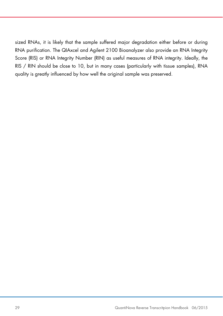sized RNAs, it is likely that the sample suffered major degradation either before or during RNA purification. The QIAxcel and Agilent 2100 Bioanalyzer also provide an RNA Integrity Score (RIS) or RNA Integrity Number (RIN) as useful measures of RNA integrity. Ideally, the RIS / RIN should be close to 10, but in many cases (particularly with tissue samples), RNA quality is greatly influenced by how well the original sample was preserved.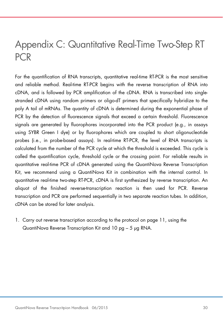### Appendix C: Quantitative Real-Time Two-Step RT PCR

For the quantification of RNA transcripts, quantitative real-time RT-PCR is the most sensitive and reliable method. Real-time RT-PCR begins with the reverse transcription of RNA into cDNA, and is followed by PCR amplification of the cDNA. RNA is transcribed into singlestranded cDNA using random primers or oligo-dT primers that specifically hybridize to the poly A tail of mRNAs. The quantity of cDNA is determined during the exponential phase of PCR by the detection of fluorescence signals that exceed a certain threshold. Fluorescence signals are generated by fluorophores incorporated into the PCR product (e.g., in assays using SYBR Green I dye) or by fluorophores which are coupled to short oligonucleotide probes (i.e., in probe-based assays). In real-time RT-PCR, the level of RNA transcripts is calculated from the number of the PCR cycle at which the threshold is exceeded. This cycle is called the quantification cycle, threshold cycle or the crossing point. For reliable results in quantitative real-time PCR of cDNA generated using the QuantiNova Reverse Transcription Kit, we recommend using a QuantiNova Kit in combination with the internal control. In quantitative real-time two-step RT-PCR, cDNA is first synthesized by reverse transcription. An aliquot of the finished reverse-transcription reaction is then used for PCR. Reverse transcription and PCR are performed sequentially in two separate reaction tubes. In addition, cDNA can be stored for later analysis.

1. Carry out reverse transcription according to the protocol on page 11, using the QuantiNova Reverse Transcription Kit and 10 pg – 5 μg RNA.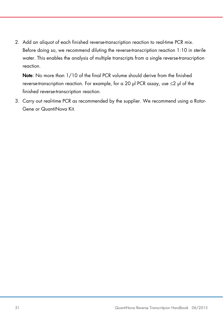2. Add an aliquot of each finished reverse-transcription reaction to real-time PCR mix. Before doing so, we recommend diluting the reverse-transcription reaction 1:10 in sterile water. This enables the analysis of multiple transcripts from a single reverse-transcription reaction.

Note: No more than 1/10 of the final PCR volume should derive from the finished reverse-transcription reaction. For example, for a 20 μl PCR assay, use ≤2 μl of the finished reverse-transcription reaction.

3. Carry out real-time PCR as recommended by the supplier. We recommend using a Rotor-Gene or QuantiNova Kit.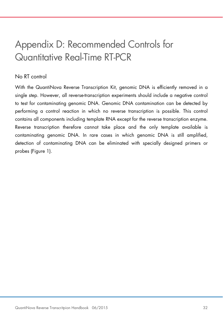## Appendix D: Recommended Controls for Quantitative Real-Time RT-PCR

#### No RT control

With the QuantiNova Reverse Transcription Kit, genomic DNA is efficiently removed in a single step. However, all reverse-transcription experiments should include a negative control to test for contaminating genomic DNA. Genomic DNA contamination can be detected by performing a control reaction in which no reverse transcription is possible. This control contains all components including template RNA except for the reverse transcription enzyme. Reverse transcription therefore cannot take place and the only template available is contaminating genomic DNA. In rare cases in which genomic DNA is still amplified, detection of contaminating DNA can be eliminated with specially designed primers or probes (Figure 1).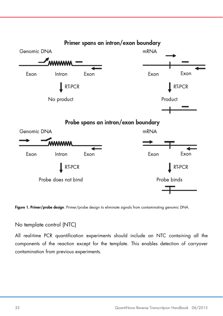

Figure 1. Primer/probe design. Primer/probe design to eliminate signals from contaminating genomic DNA.

No template control (NTC)

All real-time PCR quantification experiments should include an NTC containing all the components of the reaction except for the template. This enables detection of carryover contamination from previous experiments.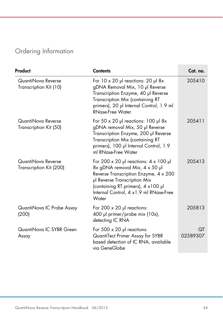### Ordering Information

| Product                                       | <b>Contents</b>                                                                                                                                                                                                                                | Cat. no.       |
|-----------------------------------------------|------------------------------------------------------------------------------------------------------------------------------------------------------------------------------------------------------------------------------------------------|----------------|
| QuantiNova Reverse<br>Transcription Kit (10)  | For $10 \times 20$ µl reactions: 20 µl 8x<br>gDNA Removal Mix, 10 µl Reverse<br>Transcription Enzyme, 40 µl Reverse<br>Transcription Mix (containing RT<br>primers), 20 µl Internal Control, 1.9 ml<br><b>RNase-Free Water</b>                 | 205410         |
| QuantiNova Reverse<br>Transcription Kit (50)  | For $50 \times 20$ µl reactions: 100 µl 8x<br>gDNA removal Mix, 50 µl Reverse<br>Transcription Enzyme, 200 µl Reverse<br>Transcription Mix (containing RT<br>primers), 100 µl Internal Control, 1.9<br>ml RNase-Free Water                     | 205411         |
| QuantiNova Reverse<br>Transcription Kit (200) | For 200 x 20 µ reactions: $4 \times 100$ µ<br>8x gDNA removal Mix, 4 x 50 µl<br>Reverse Transcription Enzyme, 4 x 200<br>µl Reverse Transcription Mix<br>(containing RT primers), 4 x100 µl<br>Internal Control, 4 x1.9 ml RNase-Free<br>Water | 205413         |
| QuantiNova IC Probe Assay<br>(200)            | For 200 $\times$ 20 µ reactions:<br>400 µl primer/probe mix (10x),<br>detecting IC RNA                                                                                                                                                         | 205813         |
| QuantiNova IC SYBR Green<br>Assay             | For $500 \times 20$ pl reactions:<br>QuantiTect Primer Assay for SYBR<br>based detection of IC RNA, available<br>via GeneGlobe                                                                                                                 | ΩT<br>02589307 |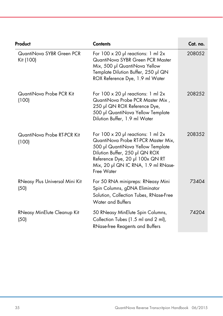| Product                                | <b>Contents</b>                                                                                                                                                                                                                                   | Cat. no. |
|----------------------------------------|---------------------------------------------------------------------------------------------------------------------------------------------------------------------------------------------------------------------------------------------------|----------|
| QuantiNova SYBR Green PCR<br>Kit (100) | For $100 \times 20$ pl reactions: 1 ml $2x$<br>QuantiNova SYBR Green PCR Master<br>Mix, 500 µl QuantiNova Yellow<br>Template Dilution Buffer, 250 µl QN<br>ROX Reference Dye, 1.9 ml Water                                                        | 208052   |
| QuantiNova Probe PCR Kit<br>(100)      | For $100 \times 20$ pl reactions: 1 ml $2x$<br>QuantiNova Probe PCR Master Mix,<br>250 µl QN ROX Reference Dye,<br>500 µl QuantiNova Yellow Template<br>Dilution Buffer, 1.9 ml Water                                                             | 208252   |
| QuantiNova Probe RT-PCR Kit<br>(100)   | For $100 \times 20$ pl reactions: 1 ml $2x$<br>QuantiNova Probe RT-PCR Master Mix,<br>500 µl QuantiNova Yellow Template<br>Dilution Buffer, 250 µl QN ROX<br>Reference Dye, 20 µl 100x QN RT<br>Mix, 20 µl QN IC RNA, 1.9 ml RNase-<br>Free Water | 208352   |
| RNeasy Plus Universal Mini Kit<br>(50) | For 50 RNA minipreps: RNeasy Mini<br>Spin Columns, gDNA Eliminator<br>Solution, Collection Tubes, RNase-Free<br>Water and Buffers                                                                                                                 | 73404    |
| RNeasy MinElute Cleanup Kit<br>(50)    | 50 RNeasy MinElute Spin Columns,<br>Collection Tubes (1.5 ml and 2 ml),<br>RNase-free Reagents and Buffers                                                                                                                                        | 74204    |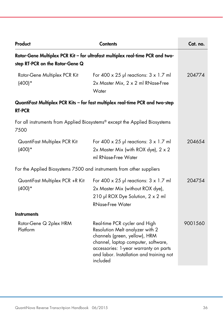| Product                                                                                                          | <b>Contents</b>                                                                                                                                                                                                                           | Cat. no. |
|------------------------------------------------------------------------------------------------------------------|-------------------------------------------------------------------------------------------------------------------------------------------------------------------------------------------------------------------------------------------|----------|
| Rotor-Gene Multiplex PCR Kit - for ultrafast multiplex real-time PCR and two-<br>step RT-PCR on the Rotor-Gene Q |                                                                                                                                                                                                                                           |          |
| Rotor-Gene Multiplex PCR Kit<br>$(400)*$                                                                         | For 400 $\times$ 25 µl reactions: $3 \times 1.7$ ml<br>2x Master Mix, 2 x 2 ml RNase-Free<br>Water                                                                                                                                        | 204774   |
| <b>RT-PCR</b>                                                                                                    | QuantiFast Multiplex PCR Kits - for fast multiplex real-time PCR and two-step                                                                                                                                                             |          |
| 7500                                                                                                             | For all instruments from Applied Biosystems® except the Applied Biosystems                                                                                                                                                                |          |
| QuantiFast Multiplex PCR Kit<br>$(400)*$                                                                         | For 400 $\times$ 25 µl reactions: $3 \times 1.7$ ml<br>2x Master Mix (with ROX dye), $2 \times 2$<br>ml RNase-Free Water                                                                                                                  | 204654   |
| For the Applied Biosystems 7500 and instruments from other suppliers                                             |                                                                                                                                                                                                                                           |          |
| QuantiFast Multiplex PCR +R Kit<br>$(400)*$                                                                      | For 400 $\times$ 25 µl reactions: $3 \times 1.7$ ml<br>2x Master Mix (without ROX dye),<br>210 µl ROX Dye Solution, 2 x 2 ml<br><b>RNase-Free Water</b>                                                                                   | 204754   |
| <b>Instruments</b>                                                                                               |                                                                                                                                                                                                                                           |          |
| Rotor-Gene Q 2plex HRM<br>Platform                                                                               | Real-time PCR cycler and High<br>Resolution Melt analyzer with 2<br>channels (green, yellow), HRM<br>channel, laptop computer, software,<br>accessories: 1-year warranty on parts<br>and labor. Installation and training not<br>included | 9001560  |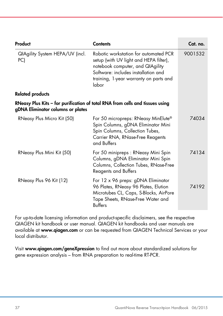| Product                                | <b>Contents</b>                                                                                                                                                                                               | Cat. no. |
|----------------------------------------|---------------------------------------------------------------------------------------------------------------------------------------------------------------------------------------------------------------|----------|
| QIAgility System HEPA/UV (incl.<br>PC) | Robotic workstation for automated PCR<br>setup (with UV light and HEPA filter),<br>notebook computer, and QIAgility<br>Software: includes installation and<br>training, 1-year warranty on parts and<br>labor | 9001532  |
| <b>Related products</b>                |                                                                                                                                                                                                               |          |
| gDNA Eliminator columns or plates      | RNeasy Plus Kits – for purification of total RNA from cells and tissues using                                                                                                                                 |          |
| RNeasy Plus Micro Kit (50)             | For 50 micropreps: RNeasy MinElute®<br>Spin Columns, gDNA Eliminator Mini<br>Spin Columns, Collection Tubes,<br>Carrier RNA, RNase-Free Reagents<br>and Buffers                                               | 74034    |
| RNeasy Plus Mini Kit (50)              | For 50 minipreps: RNeasy Mini Spin<br>Columns, gDNA Eliminator Mini Spin<br>Columns, Collection Tubes, RNase-Free<br><b>Reagents and Buffers</b>                                                              | 74134    |
| RNeasy Plus 96 Kit (12)                | For 12 x 96 preps: gDNA Eliminator<br>96 Plates, RNeasy 96 Plates, Elution<br>Microtubes CL, Caps, S-Blocks, AirPore<br>Tape Sheets, RNase-Free Water and<br><b>Buffers</b>                                   | 74192    |

For up-to-date licensing information and product-specific disclaimers, see the respective QIAGEN kit handbook or user manual. QIAGEN kit handbooks and user manuals are available at www.qiagen.com or can be requested from QIAGEN Technical Services or your local distributor.

Visit www.qiagen.com/geneXpression to find out more about standardized solutions for gene expression analysis – from RNA preparation to real-time RT-PCR.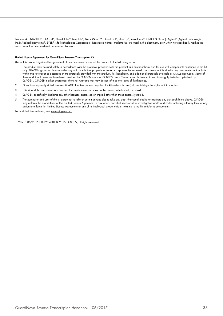Trademarks: QIAGEN®, QIAxcel®, GeneGlobe®, MinElute®, QuantiNova™, QuantiTect®, RNeasy®, Rotor-Gene® (QIAGEN Group); Agilent® (Agilent Technologies, Inc.); Applied Biosystems®, SYBR® (Life Technologies Corporation). Registered names, trademarks, etc. used in this document, even when not specifically marked as such, are not to be considered unprotected by law.

#### Limited License Agreement for QuantiNova Reverser Transcription Kit

Use of this product signifies the agreement of any purchaser or user of the product to the following terms:

- 1. The product may be used solely in accordance with the protocols provided with the product and this handbook and for use with components contained in the kit only. QIAGEN grants no license under any of its intellectual property to use or incorporate the enclosed components of this kit with any components not included within this kit except as described in the protocols provided with the product, this handbook, and additional protocols available at www.qiagen.com. Some of these additional protocols have been provided by QIAGEN users for QIAGEN users. These protocols have not been thoroughly tested or optimized by QIAGEN. QIAGEN neither guarantees them nor warrants that they do not infringe the rights of third-parties.
- 2. Other than expressly stated licenses, QIAGEN makes no warranty that this kit and/or its use(s) do not infringe the rights of third-parties.
- 3. This kit and its components are licensed for one-time use and may not be reused, refurbished, or resold.
- 4. QIAGEN specifically disclaims any other licenses, expressed or implied other than those expressly stated.
- 5. The purchaser and user of the kit agree not to take or permit anyone else to take any steps that could lead to or facilitate any acts prohibited above. QIAGEN may enforce the prohibitions of this Limited License Agreement in any Court, and shall recover all its investigative and Court costs, including attorney fees, in any action to enforce this Limited License Agreement or any of its intellectual property rights relating to the kit and/or its components.

For updated license terms, see www.qiagen.com.

1090913 06/2015 HB-1955-001 © 2015 QIAGEN, all rights reserved.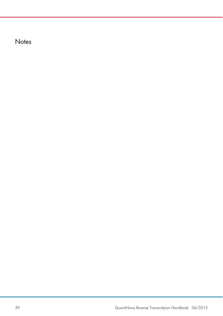**Notes**